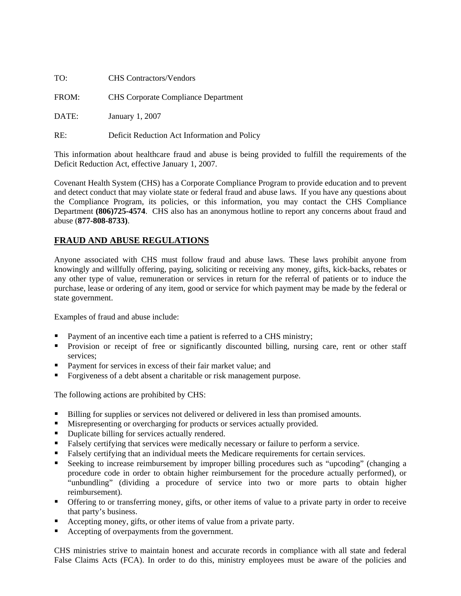| TO:   | <b>CHS</b> Contractors/Vendors               |
|-------|----------------------------------------------|
| FROM: | <b>CHS</b> Corporate Compliance Department   |
| DATE: | January 1, 2007                              |
| RE:   | Deficit Reduction Act Information and Policy |

This information about healthcare fraud and abuse is being provided to fulfill the requirements of the Deficit Reduction Act, effective January 1, 2007.

Covenant Health System (CHS) has a Corporate Compliance Program to provide education and to prevent and detect conduct that may violate state or federal fraud and abuse laws. If you have any questions about the Compliance Program, its policies, or this information, you may contact the CHS Compliance Department **(806)725-4574**. CHS also has an anonymous hotline to report any concerns about fraud and abuse (**877-808-8733)**.

#### **FRAUD AND ABUSE REGULATIONS**

Anyone associated with CHS must follow fraud and abuse laws. These laws prohibit anyone from knowingly and willfully offering, paying, soliciting or receiving any money, gifts, kick-backs, rebates or any other type of value, remuneration or services in return for the referral of patients or to induce the purchase, lease or ordering of any item, good or service for which payment may be made by the federal or state government.

Examples of fraud and abuse include:

- Payment of an incentive each time a patient is referred to a CHS ministry;
- **Provision or receipt of free or significantly discounted billing, nursing care, rent or other staff** services;
- **Payment for services in excess of their fair market value; and**
- Forgiveness of a debt absent a charitable or risk management purpose.

The following actions are prohibited by CHS:

- **Billing for supplies or services not delivered or delivered in less than promised amounts.**
- Misrepresenting or overcharging for products or services actually provided.
- Duplicate billing for services actually rendered.
- Falsely certifying that services were medically necessary or failure to perform a service.
- Falsely certifying that an individual meets the Medicare requirements for certain services.
- Seeking to increase reimbursement by improper billing procedures such as "upcoding" (changing a procedure code in order to obtain higher reimbursement for the procedure actually performed), or "unbundling" (dividing a procedure of service into two or more parts to obtain higher reimbursement).
- Offering to or transferring money, gifts, or other items of value to a private party in order to receive that party's business.
- Accepting money, gifts, or other items of value from a private party.
- Accepting of overpayments from the government.

CHS ministries strive to maintain honest and accurate records in compliance with all state and federal False Claims Acts (FCA). In order to do this, ministry employees must be aware of the policies and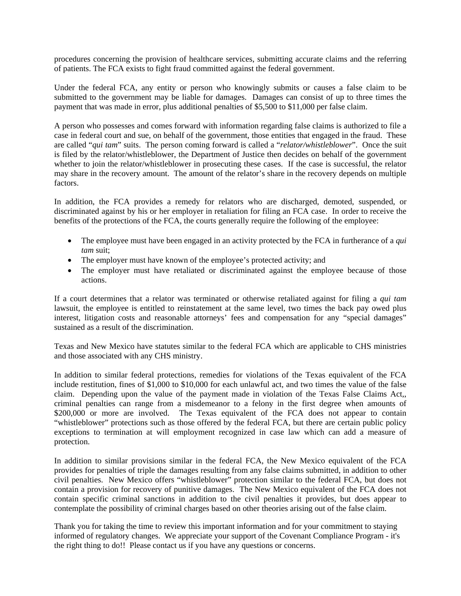procedures concerning the provision of healthcare services, submitting accurate claims and the referring of patients. The FCA exists to fight fraud committed against the federal government.

Under the federal FCA, any entity or person who knowingly submits or causes a false claim to be submitted to the government may be liable for damages. Damages can consist of up to three times the payment that was made in error, plus additional penalties of \$5,500 to \$11,000 per false claim.

A person who possesses and comes forward with information regarding false claims is authorized to file a case in federal court and sue, on behalf of the government, those entities that engaged in the fraud. These are called "*qui tam*" suits. The person coming forward is called a "*relator/whistleblower*". Once the suit is filed by the relator/whistleblower, the Department of Justice then decides on behalf of the government whether to join the relator/whistleblower in prosecuting these cases. If the case is successful, the relator may share in the recovery amount. The amount of the relator's share in the recovery depends on multiple factors.

In addition, the FCA provides a remedy for relators who are discharged, demoted, suspended, or discriminated against by his or her employer in retaliation for filing an FCA case. In order to receive the benefits of the protections of the FCA, the courts generally require the following of the employee:

- The employee must have been engaged in an activity protected by the FCA in furtherance of a *qui tam* suit;
- The employer must have known of the employee's protected activity; and
- The employer must have retaliated or discriminated against the employee because of those actions.

If a court determines that a relator was terminated or otherwise retaliated against for filing a *qui tam* lawsuit, the employee is entitled to reinstatement at the same level, two times the back pay owed plus interest, litigation costs and reasonable attorneys' fees and compensation for any "special damages" sustained as a result of the discrimination.

Texas and New Mexico have statutes similar to the federal FCA which are applicable to CHS ministries and those associated with any CHS ministry.

In addition to similar federal protections, remedies for violations of the Texas equivalent of the FCA include restitution, fines of \$1,000 to \$10,000 for each unlawful act, and two times the value of the false claim. Depending upon the value of the payment made in violation of the Texas False Claims Act,, criminal penalties can range from a misdemeanor to a felony in the first degree when amounts of \$200,000 or more are involved. The Texas equivalent of the FCA does not appear to contain "whistleblower" protections such as those offered by the federal FCA, but there are certain public policy exceptions to termination at will employment recognized in case law which can add a measure of protection.

In addition to similar provisions similar in the federal FCA, the New Mexico equivalent of the FCA provides for penalties of triple the damages resulting from any false claims submitted, in addition to other civil penalties. New Mexico offers "whistleblower" protection similar to the federal FCA, but does not contain a provision for recovery of punitive damages. The New Mexico equivalent of the FCA does not contain specific criminal sanctions in addition to the civil penalties it provides, but does appear to contemplate the possibility of criminal charges based on other theories arising out of the false claim.

Thank you for taking the time to review this important information and for your commitment to staying informed of regulatory changes. We appreciate your support of the Covenant Compliance Program - it's the right thing to do!! Please contact us if you have any questions or concerns.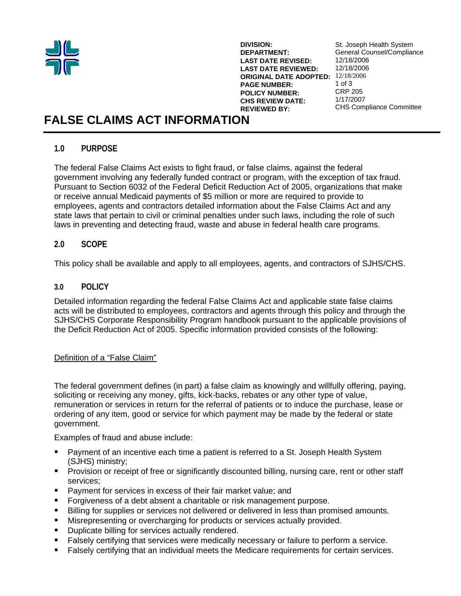

**DIVISION: DEPARTMENT: LAST DATE REVISED: LAST DATE REVIEWED: ORIGINAL DATE ADOPTED:**  12/18/2006 **PAGE NUMBER: POLICY NUMBER: CHS REVIEW DATE: REVIEWED BY:**

St. Joseph Health System General Counsel/Compliance 12/18/2006 12/18/2006 1 of 3 CRP 205 1/17/2007 CHS Compliance Committee

# **FALSE CLAIMS ACT INFORMATION**

## **1.0 PURPOSE**

The federal False Claims Act exists to fight fraud, or false claims, against the federal government involving any federally funded contract or program, with the exception of tax fraud. Pursuant to Section 6032 of the Federal Deficit Reduction Act of 2005, organizations that make or receive annual Medicaid payments of \$5 million or more are required to provide to employees, agents and contractors detailed information about the False Claims Act and any state laws that pertain to civil or criminal penalties under such laws, including the role of such laws in preventing and detecting fraud, waste and abuse in federal health care programs.

## **2.0 SCOPE**

This policy shall be available and apply to all employees, agents, and contractors of SJHS/CHS.

## **3.0 POLICY**

Detailed information regarding the federal False Claims Act and applicable state false claims acts will be distributed to employees, contractors and agents through this policy and through the SJHS/CHS Corporate Responsibility Program handbook pursuant to the applicable provisions of the Deficit Reduction Act of 2005. Specific information provided consists of the following:

#### Definition of a "False Claim"

The federal government defines (in part) a false claim as knowingly and willfully offering, paying, soliciting or receiving any money, gifts, kick-backs, rebates or any other type of value, remuneration or services in return for the referral of patients or to induce the purchase, lease or ordering of any item, good or service for which payment may be made by the federal or state government.

Examples of fraud and abuse include:

- Payment of an incentive each time a patient is referred to a St. Joseph Health System (SJHS) ministry;
- **Provision or receipt of free or significantly discounted billing, nursing care, rent or other staff** services;
- Payment for services in excess of their fair market value; and
- Forgiveness of a debt absent a charitable or risk management purpose.
- Billing for supplies or services not delivered or delivered in less than promised amounts.
- Misrepresenting or overcharging for products or services actually provided.
- **Duplicate billing for services actually rendered.**
- Falsely certifying that services were medically necessary or failure to perform a service.
- Falsely certifying that an individual meets the Medicare requirements for certain services.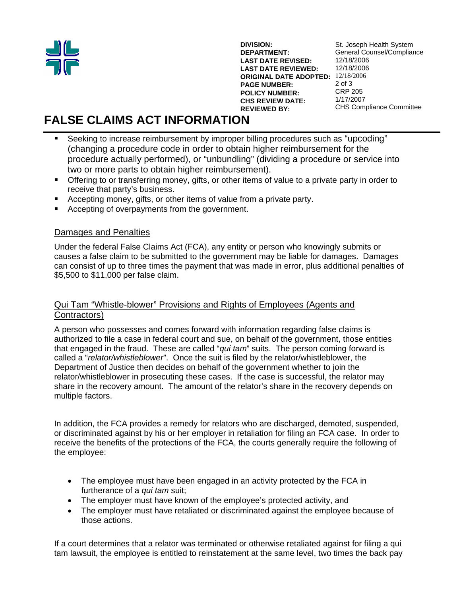

**DIVISION: DEPARTMENT: LAST DATE REVISED: LAST DATE REVIEWED: ORIGINAL DATE ADOPTED:**  12/18/2006 **PAGE NUMBER: POLICY NUMBER: CHS REVIEW DATE: REVIEWED BY:** St. Joseph Health System General Counsel/Compliance 12/18/2006 12/18/2006 2 of 3 CRP 205 1/17/2007 CHS Compliance Committee

# **FALSE CLAIMS ACT INFORMATION**

- Seeking to increase reimbursement by improper billing procedures such as "upcoding" (changing a procedure code in order to obtain higher reimbursement for the procedure actually performed), or "unbundling" (dividing a procedure or service into two or more parts to obtain higher reimbursement).
- Offering to or transferring money, gifts, or other items of value to a private party in order to receive that party's business.
- **Accepting money, gifts, or other items of value from a private party.**
- Accepting of overpayments from the government.

## Damages and Penalties

Under the federal False Claims Act (FCA), any entity or person who knowingly submits or causes a false claim to be submitted to the government may be liable for damages. Damages can consist of up to three times the payment that was made in error, plus additional penalties of \$5,500 to \$11,000 per false claim.

## Qui Tam "Whistle-blower" Provisions and Rights of Employees (Agents and Contractors)

A person who possesses and comes forward with information regarding false claims is authorized to file a case in federal court and sue, on behalf of the government, those entities that engaged in the fraud. These are called "*qui tam*" suits. The person coming forward is called a "*relator/whistleblower*". Once the suit is filed by the relator/whistleblower, the Department of Justice then decides on behalf of the government whether to join the relator/whistleblower in prosecuting these cases. If the case is successful, the relator may share in the recovery amount. The amount of the relator's share in the recovery depends on multiple factors.

In addition, the FCA provides a remedy for relators who are discharged, demoted, suspended, or discriminated against by his or her employer in retaliation for filing an FCA case. In order to receive the benefits of the protections of the FCA, the courts generally require the following of the employee:

- The employee must have been engaged in an activity protected by the FCA in furtherance of a *qui tam* suit;
- The employer must have known of the employee's protected activity, and
- The employer must have retaliated or discriminated against the employee because of those actions.

If a court determines that a relator was terminated or otherwise retaliated against for filing a qui tam lawsuit, the employee is entitled to reinstatement at the same level, two times the back pay